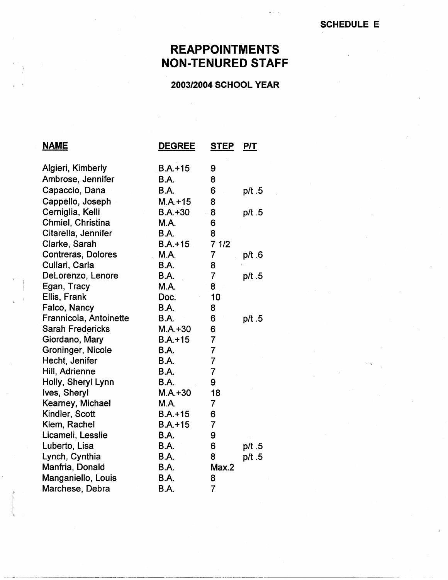## **REAPPOINTMENTS NON-TENURED STAFF**

## **2003/2004 SCHOOL YEAR**

| <b>NAME</b>               | <b>DEGREE</b> | <b>STEP</b>    | P/T      |
|---------------------------|---------------|----------------|----------|
| Algieri, Kimberly         | $B.A.+15$     | 9              |          |
| Ambrose, Jennifer         | B.A.          | 8              |          |
| Capaccio, Dana            | B.A.          | 6              | p/t.5    |
| Cappello, Joseph          | $M.A. + 15$   | 8              |          |
| Cerniglia, Kelli          | $B.A. + 30$   | 8              | p/t .5   |
| Chmiel, Christina         | M.A.          | 6              |          |
| Citarella, Jennifer       | <b>B.A.</b>   | 8              |          |
| Clarke, Sarah             | $B.A. + 15$   | 71/2           |          |
| <b>Contreras, Dolores</b> | M.A.          | 7              | $p/t$ .6 |
| Cullari, Carla            | <b>B.A.</b>   | 8              |          |
| DeLorenzo, Lenore         | B.A.          | $\overline{7}$ | p/t .5   |
| Egan, Tracy               | <b>M.A.</b>   | 8              |          |
| Ellis, Frank              | Doc.          | 10             |          |
| Falco, Nancy              | B.A.          | 8              |          |
| Frannicola, Antoinette    | <b>B.A.</b>   | 6              | p/t .5   |
| <b>Sarah Fredericks</b>   | $M.A. + 30$   | 6              |          |
| Giordano, Mary            | $B.A. + 15$   | $\overline{7}$ |          |
| <b>Groninger, Nicole</b>  | B.A.          | $\overline{7}$ |          |
| Hecht, Jenifer            | <b>B.A.</b>   | $\overline{7}$ |          |
| Hill, Adrienne            | <b>B.A.</b>   | 7              |          |
| Holly, Sheryl Lynn        | B.A.          | 9              |          |
| Ives, Sheryl              | $M.A. + 30$   | 18             |          |
| Kearney, Michael          | M.A.          | 7              |          |
| Kindler, Scott            | $B.A. + 15$   | 6              |          |
| Klem, Rachel              | $B.A.+15$     | $\overline{7}$ |          |
| Licameli, Lesslie         | B.A.          | 9              |          |
| Luberto, Lisa             | <b>B.A.</b>   | 6              | p/t .5   |
| Lynch, Cynthia            | B.A.          | 8              | p/t.5    |
| Manfria, Donald           | B.A.          | Max.2          |          |
| Manganiello, Louis        | B.A.          | 8              |          |
| Marchese, Debra           | B.A.          | $\overline{7}$ |          |

--------·--------·---------